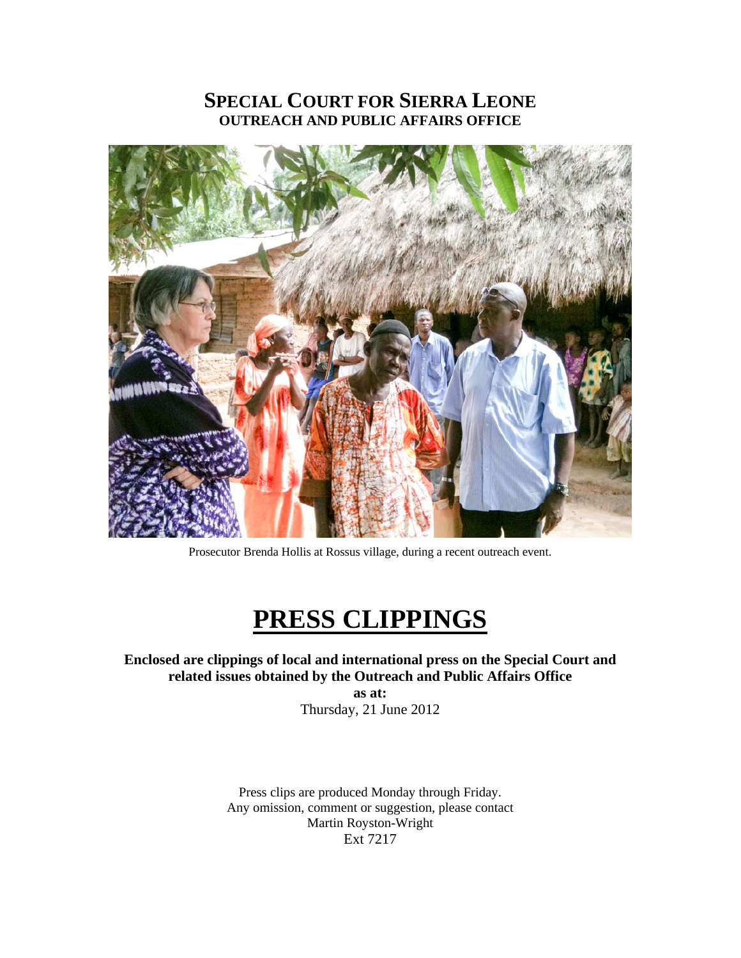### **SPECIAL COURT FOR SIERRA LEONE OUTREACH AND PUBLIC AFFAIRS OFFICE**



Prosecutor Brenda Hollis at Rossus village, during a recent outreach event.

# **PRESS CLIPPINGS**

**Enclosed are clippings of local and international press on the Special Court and related issues obtained by the Outreach and Public Affairs Office as at:** 

Thursday, 21 June 2012

Press clips are produced Monday through Friday. Any omission, comment or suggestion, please contact Martin Royston-Wright Ext 7217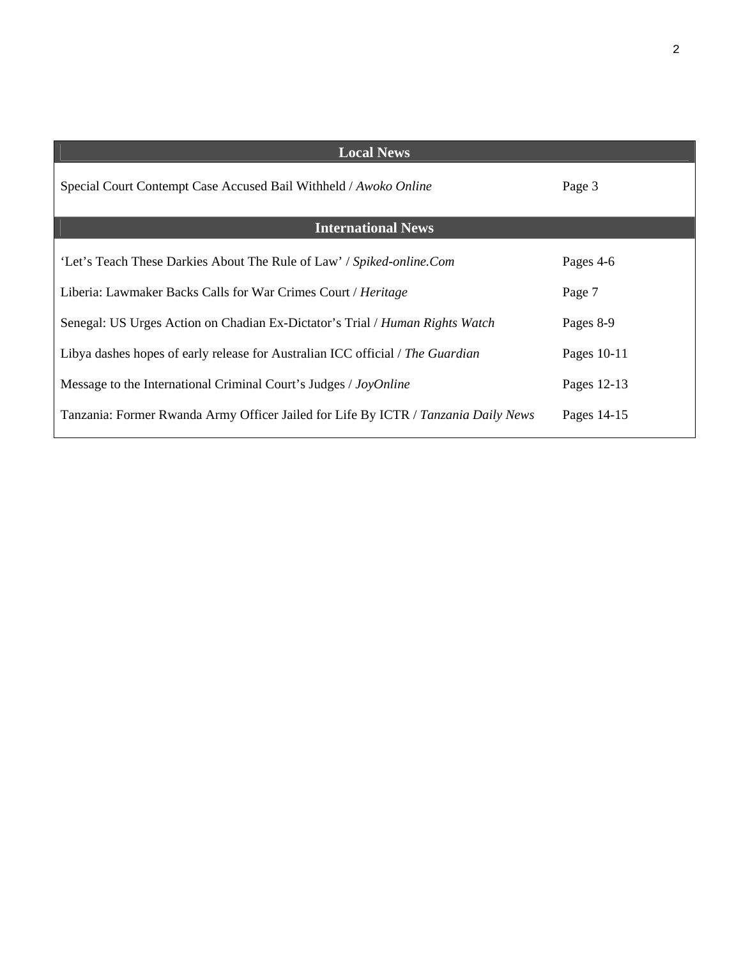| <b>Local News</b>                                                                  |             |
|------------------------------------------------------------------------------------|-------------|
| Special Court Contempt Case Accused Bail Withheld / Awoko Online                   | Page 3      |
| <b>International News</b>                                                          |             |
| 'Let's Teach These Darkies About The Rule of Law' / Spiked-online.Com              | Pages 4-6   |
| Liberia: Lawmaker Backs Calls for War Crimes Court / Heritage                      | Page 7      |
| Senegal: US Urges Action on Chadian Ex-Dictator's Trial / Human Rights Watch       | Pages 8-9   |
| Libya dashes hopes of early release for Australian ICC official / The Guardian     | Pages 10-11 |
| Message to the International Criminal Court's Judges / JoyOnline                   | Pages 12-13 |
| Tanzania: Former Rwanda Army Officer Jailed for Life By ICTR / Tanzania Daily News | Pages 14-15 |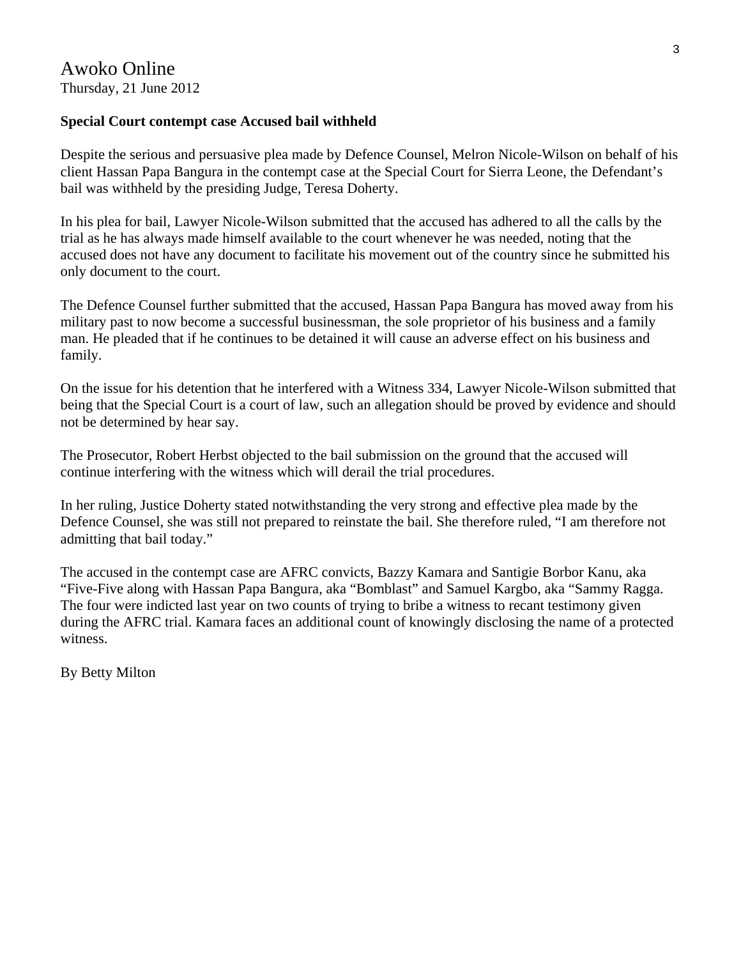### **Special Court contempt case Accused bail withheld**

Despite the serious and persuasive plea made by Defence Counsel, Melron Nicole-Wilson on behalf of his client Hassan Papa Bangura in the contempt case at the Special Court for Sierra Leone, the Defendant's bail was withheld by the presiding Judge, Teresa Doherty.

In his plea for bail, Lawyer Nicole-Wilson submitted that the accused has adhered to all the calls by the trial as he has always made himself available to the court whenever he was needed, noting that the accused does not have any document to facilitate his movement out of the country since he submitted his only document to the court.

The Defence Counsel further submitted that the accused, Hassan Papa Bangura has moved away from his military past to now become a successful businessman, the sole proprietor of his business and a family man. He pleaded that if he continues to be detained it will cause an adverse effect on his business and family.

On the issue for his detention that he interfered with a Witness 334, Lawyer Nicole-Wilson submitted that being that the Special Court is a court of law, such an allegation should be proved by evidence and should not be determined by hear say.

The Prosecutor, Robert Herbst objected to the bail submission on the ground that the accused will continue interfering with the witness which will derail the trial procedures.

In her ruling, Justice Doherty stated notwithstanding the very strong and effective plea made by the Defence Counsel, she was still not prepared to reinstate the bail. She therefore ruled, "I am therefore not admitting that bail today."

The accused in the contempt case are AFRC convicts, Bazzy Kamara and Santigie Borbor Kanu, aka "Five-Five along with Hassan Papa Bangura, aka "Bomblast" and Samuel Kargbo, aka "Sammy Ragga. The four were indicted last year on two counts of trying to bribe a witness to recant testimony given during the AFRC trial. Kamara faces an additional count of knowingly disclosing the name of a protected witness.

By Betty Milton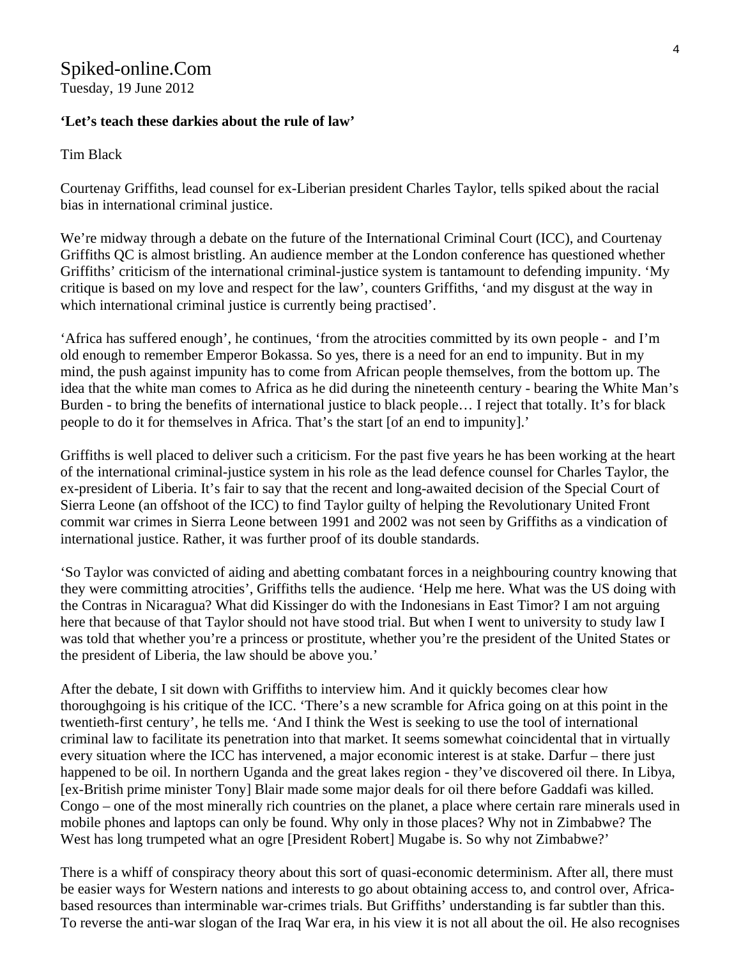### Spiked-online.Com Tuesday, 19 June 2012

### **'Let's teach these darkies about the rule of law'**

Tim Black

Courtenay Griffiths, lead counsel for ex-Liberian president Charles Taylor, tells spiked about the racial bias in international criminal justice.

We're midway through a debate on the future of the International Criminal Court (ICC), and Courtenay Griffiths QC is almost bristling. An audience member at the London conference has questioned whether Griffiths' criticism of the international criminal-justice system is tantamount to defending impunity. 'My critique is based on my love and respect for the law', counters Griffiths, 'and my disgust at the way in which international criminal justice is currently being practised'.

'Africa has suffered enough', he continues, 'from the atrocities committed by its own people - and I'm old enough to remember Emperor Bokassa. So yes, there is a need for an end to impunity. But in my mind, the push against impunity has to come from African people themselves, from the bottom up. The idea that the white man comes to Africa as he did during the nineteenth century - bearing the White Man's Burden - to bring the benefits of international justice to black people… I reject that totally. It's for black people to do it for themselves in Africa. That's the start [of an end to impunity].'

Griffiths is well placed to deliver such a criticism. For the past five years he has been working at the heart of the international criminal-justice system in his role as the lead defence counsel for Charles Taylor, the ex-president of Liberia. It's fair to say that the recent and long-awaited decision of the Special Court of Sierra Leone (an offshoot of the ICC) to find Taylor guilty of helping the Revolutionary United Front commit war crimes in Sierra Leone between 1991 and 2002 was not seen by Griffiths as a vindication of international justice. Rather, it was further proof of its double standards.

'So Taylor was convicted of aiding and abetting combatant forces in a neighbouring country knowing that they were committing atrocities', Griffiths tells the audience. 'Help me here. What was the US doing with the Contras in Nicaragua? What did Kissinger do with the Indonesians in East Timor? I am not arguing here that because of that Taylor should not have stood trial. But when I went to university to study law I was told that whether you're a princess or prostitute, whether you're the president of the United States or the president of Liberia, the law should be above you.'

After the debate, I sit down with Griffiths to interview him. And it quickly becomes clear how thoroughgoing is his critique of the ICC. 'There's a new scramble for Africa going on at this point in the twentieth-first century', he tells me. 'And I think the West is seeking to use the tool of international criminal law to facilitate its penetration into that market. It seems somewhat coincidental that in virtually every situation where the ICC has intervened, a major economic interest is at stake. Darfur – there just happened to be oil. In northern Uganda and the great lakes region - they've discovered oil there. In Libya, [ex-British prime minister Tony] Blair made some major deals for oil there before Gaddafi was killed. Congo – one of the most minerally rich countries on the planet, a place where certain rare minerals used in mobile phones and laptops can only be found. Why only in those places? Why not in Zimbabwe? The West has long trumpeted what an ogre [President Robert] Mugabe is. So why not Zimbabwe?'

There is a whiff of conspiracy theory about this sort of quasi-economic determinism. After all, there must be easier ways for Western nations and interests to go about obtaining access to, and control over, Africabased resources than interminable war-crimes trials. But Griffiths' understanding is far subtler than this. To reverse the anti-war slogan of the Iraq War era, in his view it is not all about the oil. He also recognises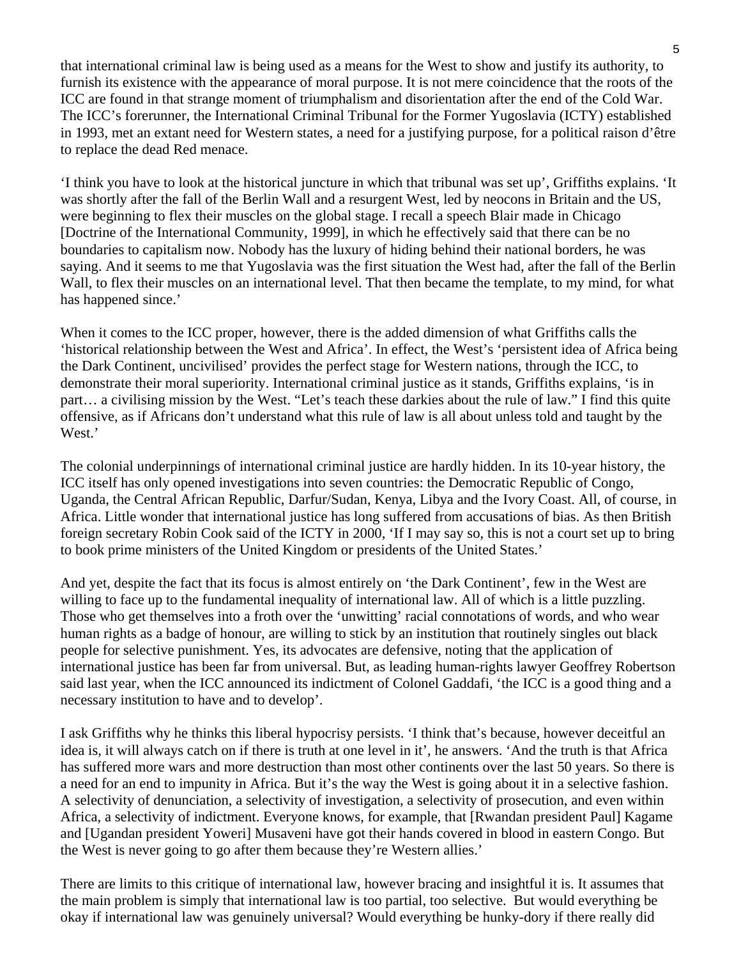that international criminal law is being used as a means for the West to show and justify its authority, to furnish its existence with the appearance of moral purpose. It is not mere coincidence that the roots of the ICC are found in that strange moment of triumphalism and disorientation after the end of the Cold War. The ICC's forerunner, the International Criminal Tribunal for the Former Yugoslavia (ICTY) established in 1993, met an extant need for Western states, a need for a justifying purpose, for a political raison d'être to replace the dead Red menace.

'I think you have to look at the historical juncture in which that tribunal was set up', Griffiths explains. 'It was shortly after the fall of the Berlin Wall and a resurgent West, led by neocons in Britain and the US, were beginning to flex their muscles on the global stage. I recall a speech Blair made in Chicago [Doctrine of the International Community, 1999], in which he effectively said that there can be no boundaries to capitalism now. Nobody has the luxury of hiding behind their national borders, he was saying. And it seems to me that Yugoslavia was the first situation the West had, after the fall of the Berlin Wall, to flex their muscles on an international level. That then became the template, to my mind, for what has happened since.'

When it comes to the ICC proper, however, there is the added dimension of what Griffiths calls the 'historical relationship between the West and Africa'. In effect, the West's 'persistent idea of Africa being the Dark Continent, uncivilised' provides the perfect stage for Western nations, through the ICC, to demonstrate their moral superiority. International criminal justice as it stands, Griffiths explains, 'is in part… a civilising mission by the West. "Let's teach these darkies about the rule of law." I find this quite offensive, as if Africans don't understand what this rule of law is all about unless told and taught by the West.'

The colonial underpinnings of international criminal justice are hardly hidden. In its 10-year history, the ICC itself has only opened investigations into seven countries: the Democratic Republic of Congo, Uganda, the Central African Republic, Darfur/Sudan, Kenya, Libya and the Ivory Coast. All, of course, in Africa. Little wonder that international justice has long suffered from accusations of bias. As then British foreign secretary Robin Cook said of the ICTY in 2000, 'If I may say so, this is not a court set up to bring to book prime ministers of the United Kingdom or presidents of the United States.'

And yet, despite the fact that its focus is almost entirely on 'the Dark Continent', few in the West are willing to face up to the fundamental inequality of international law. All of which is a little puzzling. Those who get themselves into a froth over the 'unwitting' racial connotations of words, and who wear human rights as a badge of honour, are willing to stick by an institution that routinely singles out black people for selective punishment. Yes, its advocates are defensive, noting that the application of international justice has been far from universal. But, as leading human-rights lawyer Geoffrey Robertson said last year, when the ICC announced its indictment of Colonel Gaddafi, 'the ICC is a good thing and a necessary institution to have and to develop'.

I ask Griffiths why he thinks this liberal hypocrisy persists. 'I think that's because, however deceitful an idea is, it will always catch on if there is truth at one level in it', he answers. 'And the truth is that Africa has suffered more wars and more destruction than most other continents over the last 50 years. So there is a need for an end to impunity in Africa. But it's the way the West is going about it in a selective fashion. A selectivity of denunciation, a selectivity of investigation, a selectivity of prosecution, and even within Africa, a selectivity of indictment. Everyone knows, for example, that [Rwandan president Paul] Kagame and [Ugandan president Yoweri] Musaveni have got their hands covered in blood in eastern Congo. But the West is never going to go after them because they're Western allies.'

There are limits to this critique of international law, however bracing and insightful it is. It assumes that the main problem is simply that international law is too partial, too selective. But would everything be okay if international law was genuinely universal? Would everything be hunky-dory if there really did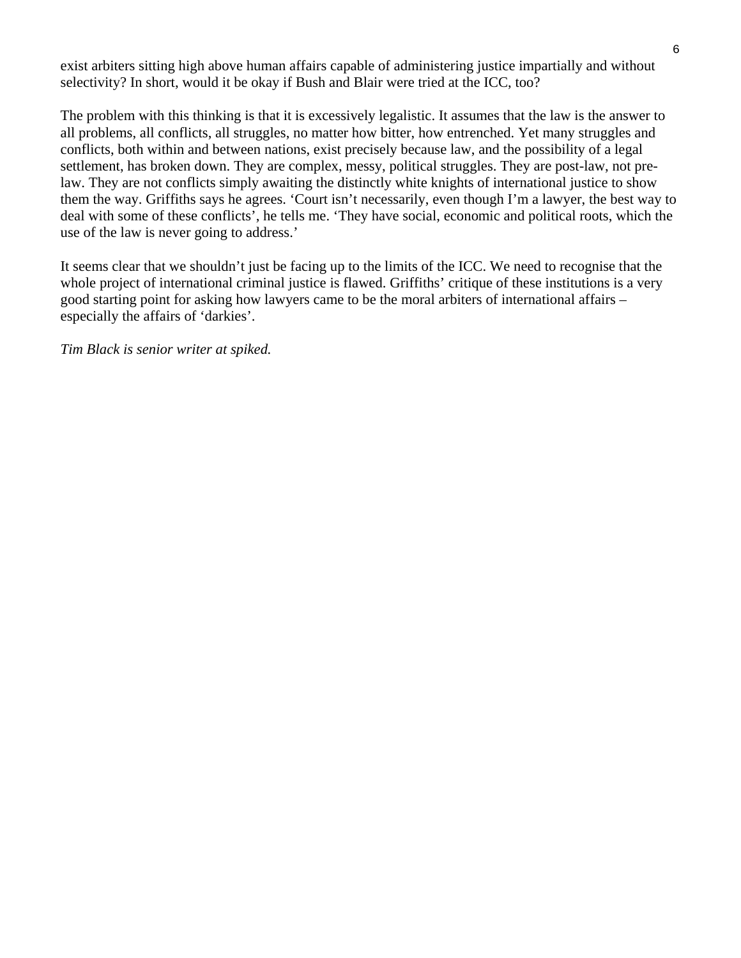exist arbiters sitting high above human affairs capable of administering justice impartially and without selectivity? In short, would it be okay if Bush and Blair were tried at the ICC, too?

The problem with this thinking is that it is excessively legalistic. It assumes that the law is the answer to all problems, all conflicts, all struggles, no matter how bitter, how entrenched. Yet many struggles and conflicts, both within and between nations, exist precisely because law, and the possibility of a legal settlement, has broken down. They are complex, messy, political struggles. They are post-law, not prelaw. They are not conflicts simply awaiting the distinctly white knights of international justice to show them the way. Griffiths says he agrees. 'Court isn't necessarily, even though I'm a lawyer, the best way to deal with some of these conflicts', he tells me. 'They have social, economic and political roots, which the use of the law is never going to address.'

It seems clear that we shouldn't just be facing up to the limits of the ICC. We need to recognise that the whole project of international criminal justice is flawed. Griffiths' critique of these institutions is a very good starting point for asking how lawyers came to be the moral arbiters of international affairs – especially the affairs of 'darkies'.

*Tim Black is senior writer at spiked.*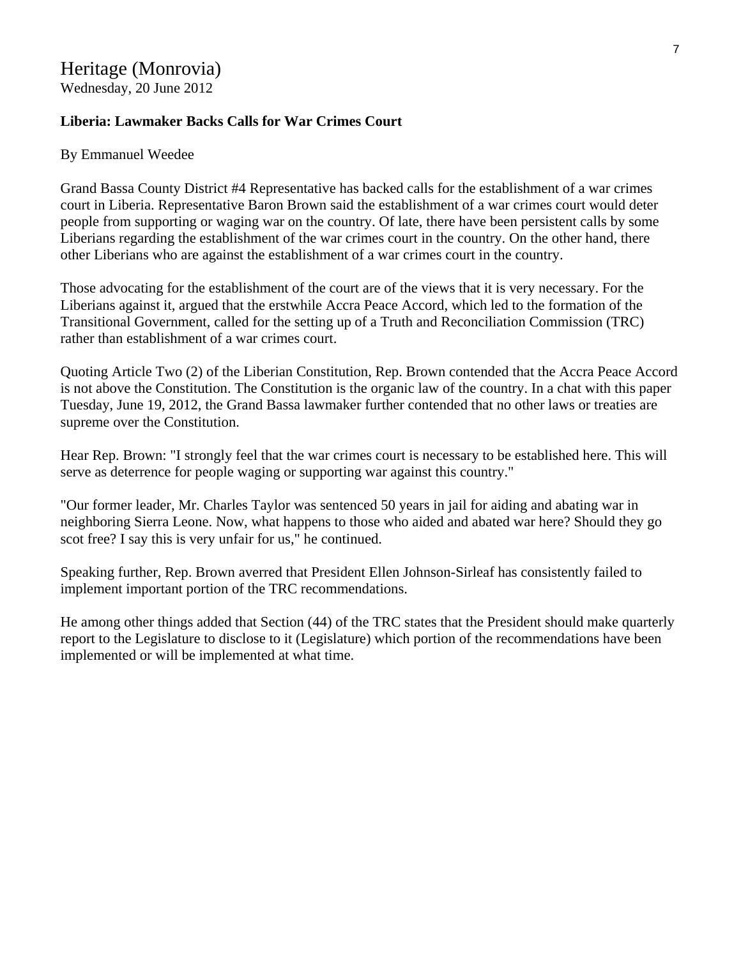## Heritage (Monrovia)

Wednesday, 20 June 2012

### **Liberia: Lawmaker Backs Calls for War Crimes Court**

#### By Emmanuel Weedee

Grand Bassa County District #4 Representative has backed calls for the establishment of a war crimes court in Liberia. Representative Baron Brown said the establishment of a war crimes court would deter people from supporting or waging war on the country. Of late, there have been persistent calls by some Liberians regarding the establishment of the war crimes court in the country. On the other hand, there other Liberians who are against the establishment of a war crimes court in the country.

Those advocating for the establishment of the court are of the views that it is very necessary. For the Liberians against it, argued that the erstwhile Accra Peace Accord, which led to the formation of the Transitional Government, called for the setting up of a Truth and Reconciliation Commission (TRC) rather than establishment of a war crimes court.

Quoting Article Two (2) of the Liberian Constitution, Rep. Brown contended that the Accra Peace Accord is not above the Constitution. The Constitution is the organic law of the country. In a chat with this paper Tuesday, June 19, 2012, the Grand Bassa lawmaker further contended that no other laws or treaties are supreme over the Constitution.

Hear Rep. Brown: "I strongly feel that the war crimes court is necessary to be established here. This will serve as deterrence for people waging or supporting war against this country."

"Our former leader, Mr. Charles Taylor was sentenced 50 years in jail for aiding and abating war in neighboring Sierra Leone. Now, what happens to those who aided and abated war here? Should they go scot free? I say this is very unfair for us," he continued.

Speaking further, Rep. Brown averred that President Ellen Johnson-Sirleaf has consistently failed to implement important portion of the TRC recommendations.

He among other things added that Section (44) of the TRC states that the President should make quarterly report to the Legislature to disclose to it (Legislature) which portion of the recommendations have been implemented or will be implemented at what time.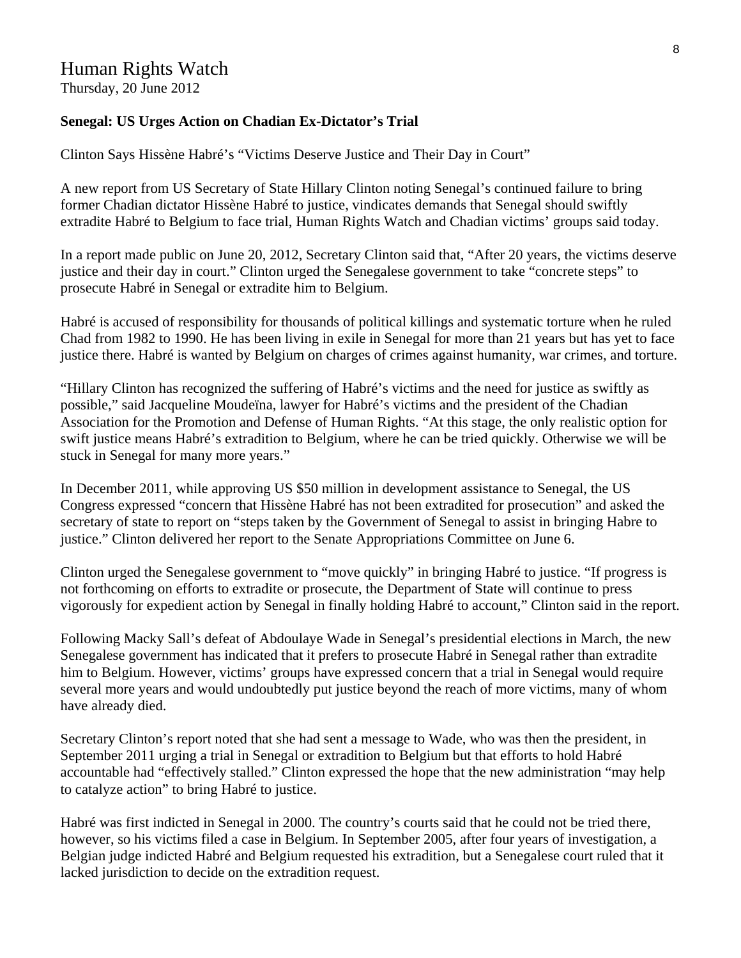### Human Rights Watch

Thursday, 20 June 2012

#### **Senegal: US Urges Action on Chadian Ex-Dictator's Trial**

Clinton Says Hissène Habré's "Victims Deserve Justice and Their Day in Court"

A new report from US Secretary of State Hillary Clinton noting Senegal's continued failure to bring former Chadian dictator Hissène Habré to justice, vindicates demands that Senegal should swiftly extradite Habré to Belgium to face trial, Human Rights Watch and Chadian victims' groups said today.

In a report made public on June 20, 2012, Secretary Clinton said that, "After 20 years, the victims deserve justice and their day in court." Clinton urged the Senegalese government to take "concrete steps" to prosecute Habré in Senegal or extradite him to Belgium.

Habré is accused of responsibility for thousands of political killings and systematic torture when he ruled Chad from 1982 to 1990. He has been living in exile in Senegal for more than 21 years but has yet to face justice there. Habré is wanted by Belgium on charges of crimes against humanity, war crimes, and torture.

"Hillary Clinton has recognized the suffering of Habré's victims and the need for justice as swiftly as possible," said Jacqueline Moudeïna, lawyer for Habré's victims and the president of the Chadian Association for the Promotion and Defense of Human Rights. "At this stage, the only realistic option for swift justice means Habré's extradition to Belgium, where he can be tried quickly. Otherwise we will be stuck in Senegal for many more years."

In December 2011, while approving US \$50 million in development assistance to Senegal, the US Congress expressed "concern that Hissène Habré has not been extradited for prosecution" and asked the secretary of state to report on "steps taken by the Government of Senegal to assist in bringing Habre to justice." Clinton delivered her report to the Senate Appropriations Committee on June 6.

Clinton urged the Senegalese government to "move quickly" in bringing Habré to justice. "If progress is not forthcoming on efforts to extradite or prosecute, the Department of State will continue to press vigorously for expedient action by Senegal in finally holding Habré to account," Clinton said in the report.

Following Macky Sall's defeat of Abdoulaye Wade in Senegal's presidential elections in March, the new Senegalese government has indicated that it prefers to prosecute Habré in Senegal rather than extradite him to Belgium. However, victims' groups have expressed concern that a trial in Senegal would require several more years and would undoubtedly put justice beyond the reach of more victims, many of whom have already died.

Secretary Clinton's report noted that she had sent a message to Wade, who was then the president, in September 2011 urging a trial in Senegal or extradition to Belgium but that efforts to hold Habré accountable had "effectively stalled." Clinton expressed the hope that the new administration "may help to catalyze action" to bring Habré to justice.

Habré was first indicted in Senegal in 2000. The country's courts said that he could not be tried there, however, so his victims filed a case in Belgium. In September 2005, after four years of investigation, a Belgian judge indicted Habré and Belgium requested his extradition, but a Senegalese court ruled that it lacked jurisdiction to decide on the extradition request.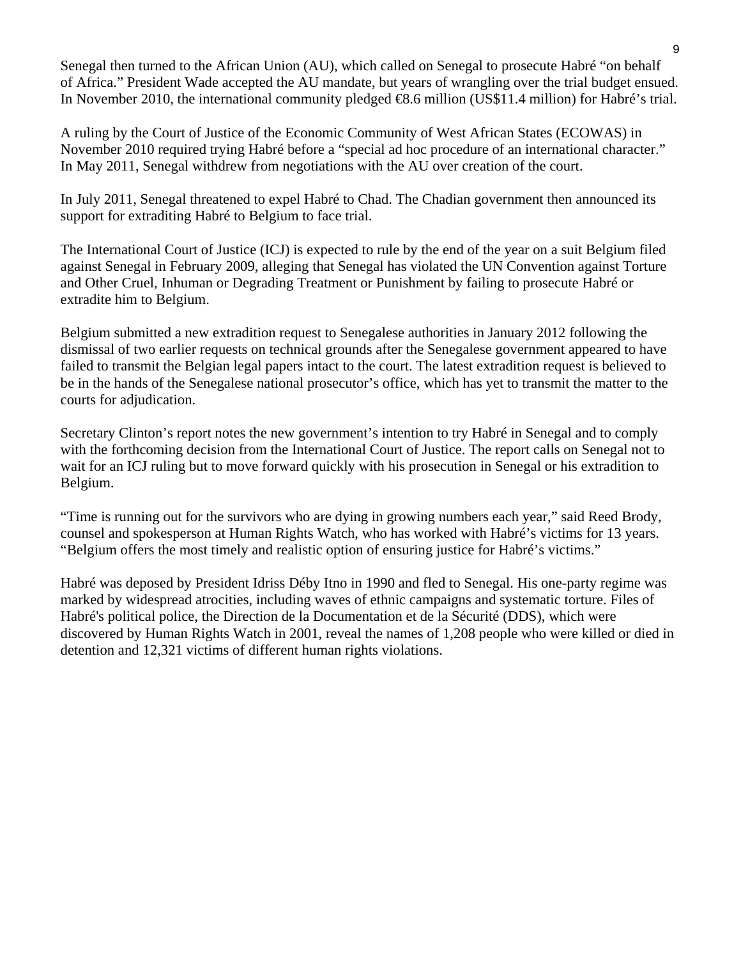Senegal then turned to the African Union (AU), which called on Senegal to prosecute Habré "on behalf of Africa." President Wade accepted the AU mandate, but years of wrangling over the trial budget ensued. In November 2010, the international community pledged €8.6 million (US\$11.4 million) for Habré's trial.

A ruling by the Court of Justice of the Economic Community of West African States (ECOWAS) in November 2010 required trying Habré before a "special ad hoc procedure of an international character." In May 2011, Senegal withdrew from negotiations with the AU over creation of the court.

In July 2011, Senegal threatened to expel Habré to Chad. The Chadian government then announced its support for extraditing Habré to Belgium to face trial.

The International Court of Justice (ICJ) is expected to rule by the end of the year on a suit Belgium filed against Senegal in February 2009, alleging that Senegal has violated the UN Convention against Torture and Other Cruel, Inhuman or Degrading Treatment or Punishment by failing to prosecute Habré or extradite him to Belgium.

Belgium submitted a new extradition request to Senegalese authorities in January 2012 following the dismissal of two earlier requests on technical grounds after the Senegalese government appeared to have failed to transmit the Belgian legal papers intact to the court. The latest extradition request is believed to be in the hands of the Senegalese national prosecutor's office, which has yet to transmit the matter to the courts for adjudication.

Secretary Clinton's report notes the new government's intention to try Habré in Senegal and to comply with the forthcoming decision from the International Court of Justice. The report calls on Senegal not to wait for an ICJ ruling but to move forward quickly with his prosecution in Senegal or his extradition to Belgium.

"Time is running out for the survivors who are dying in growing numbers each year," said Reed Brody, counsel and spokesperson at Human Rights Watch, who has worked with Habré's victims for 13 years. "Belgium offers the most timely and realistic option of ensuring justice for Habré's victims."

Habré was deposed by President Idriss Déby Itno in 1990 and fled to Senegal. His one-party regime was marked by widespread atrocities, including waves of ethnic campaigns and systematic torture. Files of Habré's political police, the Direction de la Documentation et de la Sécurité (DDS), which were discovered by Human Rights Watch in 2001, reveal the names of 1,208 people who were killed or died in detention and 12,321 victims of different human rights violations.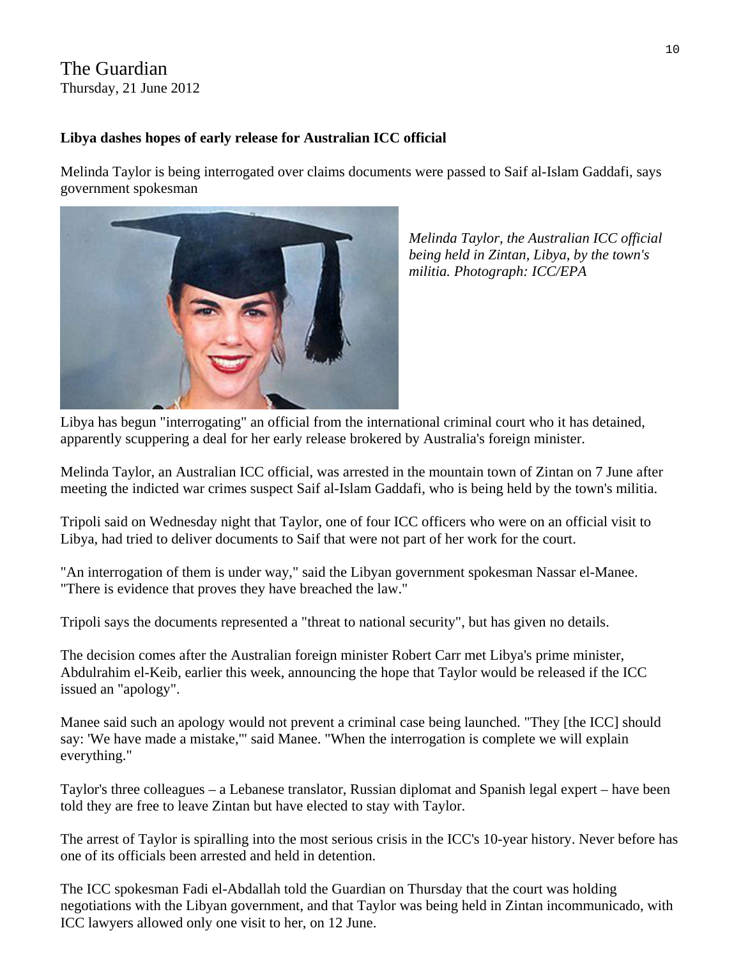### The Guardian Thursday, 21 June 2012

### **Libya dashes hopes of early release for Australian ICC official**

Melinda Taylor is being interrogated over claims documents were passed to Saif al-Islam Gaddafi, says government spokesman



*Melinda Taylor, the Australian ICC official being held in Zintan, Libya, by the town's militia. Photograph: ICC/EPA* 

Libya has begun "interrogating" an official from the international criminal court who it has detained, apparently scuppering a deal for her early release brokered by Australia's foreign minister.

Melinda Taylor, an Australian ICC official, was arrested in the mountain town of Zintan on 7 June after meeting the indicted war crimes suspect Saif al-Islam Gaddafi, who is being held by the town's militia.

Tripoli said on Wednesday night that Taylor, one of four ICC officers who were on an official visit to Libya, had tried to deliver documents to Saif that were not part of her work for the court.

"An interrogation of them is under way," said the Libyan government spokesman Nassar el-Manee. "There is evidence that proves they have breached the law."

Tripoli says the documents represented a "threat to national security", but has given no details.

The decision comes after the Australian foreign minister Robert Carr met Libya's prime minister, Abdulrahim el-Keib, earlier this week, announcing the hope that Taylor would be released if the ICC issued an "apology".

Manee said such an apology would not prevent a criminal case being launched. "They [the ICC] should say: 'We have made a mistake,'" said Manee. "When the interrogation is complete we will explain everything."

Taylor's three colleagues – a Lebanese translator, Russian diplomat and Spanish legal expert – have been told they are free to leave Zintan but have elected to stay with Taylor.

The arrest of Taylor is spiralling into the most serious crisis in the ICC's 10-year history. Never before has one of its officials been arrested and held in detention.

The ICC spokesman Fadi el-Abdallah told the Guardian on Thursday that the court was holding negotiations with the Libyan government, and that Taylor was being held in Zintan incommunicado, with ICC lawyers allowed only one visit to her, on 12 June.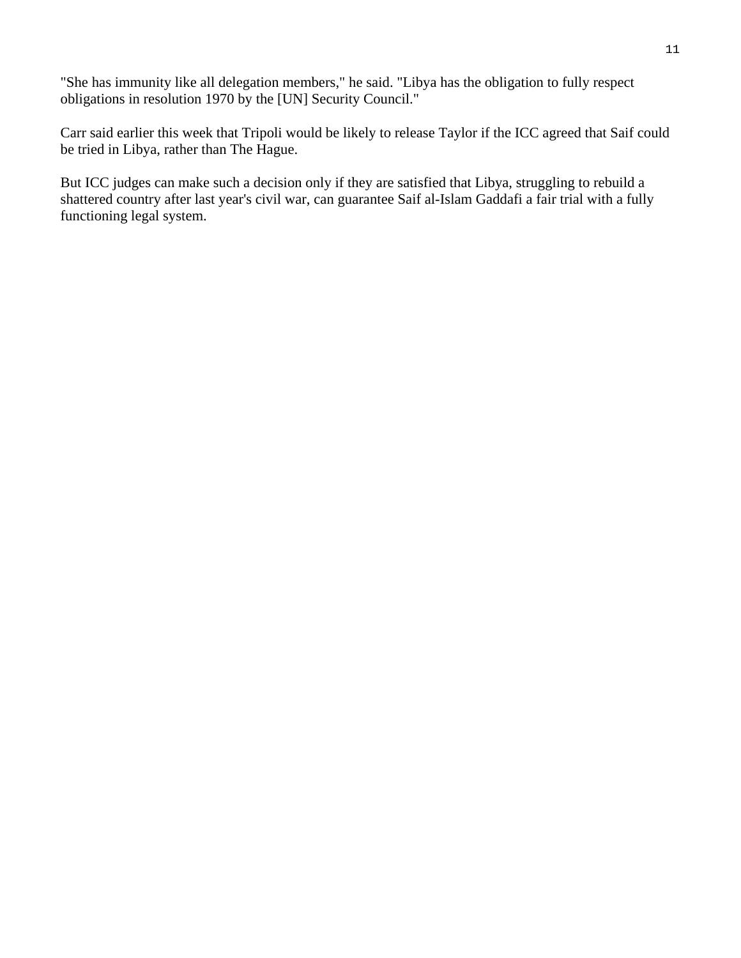"She has immunity like all delegation members," he said. "Libya has the obligation to fully respect obligations in resolution 1970 by the [UN] Security Council."

Carr said earlier this week that Tripoli would be likely to release Taylor if the ICC agreed that Saif could be tried in Libya, rather than The Hague.

But ICC judges can make such a decision only if they are satisfied that Libya, struggling to rebuild a shattered country after last year's civil war, can guarantee Saif al-Islam Gaddafi a fair trial with a fully functioning legal system.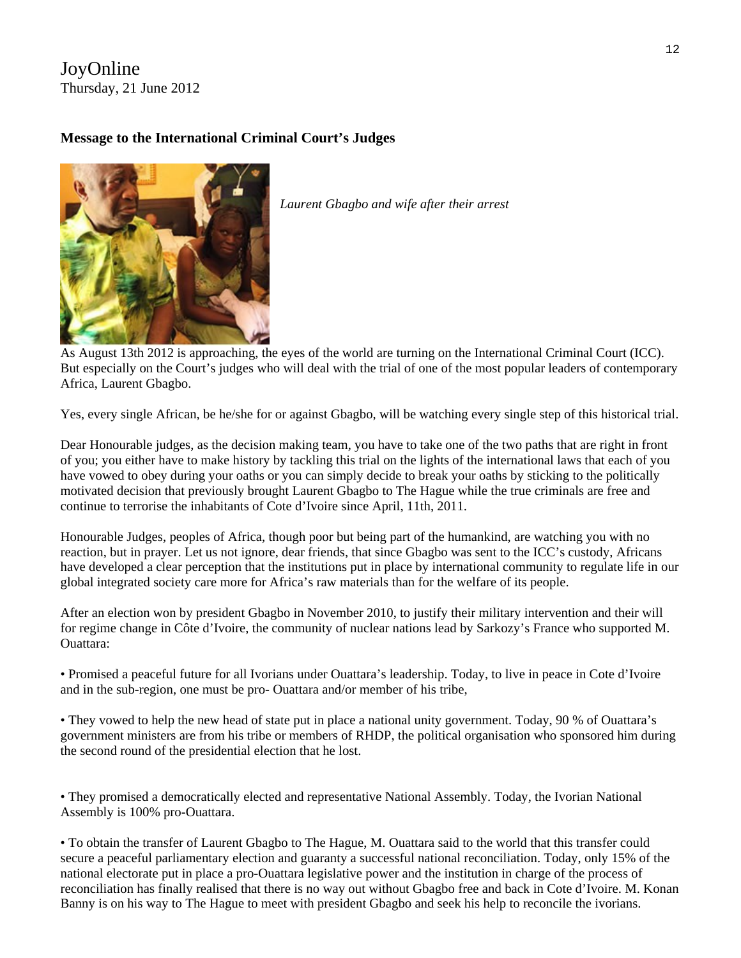### JoyOnline Thursday, 21 June 2012

### **Message to the International Criminal Court's Judges**



*Laurent Gbagbo and wife after their arrest* 

As August 13th 2012 is approaching, the eyes of the world are turning on the International Criminal Court (ICC). But especially on the Court's judges who will deal with the trial of one of the most popular leaders of contemporary Africa, Laurent Gbagbo.

Yes, every single African, be he/she for or against Gbagbo, will be watching every single step of this historical trial.

Dear Honourable judges, as the decision making team, you have to take one of the two paths that are right in front of you; you either have to make history by tackling this trial on the lights of the international laws that each of you have vowed to obey during your oaths or you can simply decide to break your oaths by sticking to the politically motivated decision that previously brought Laurent Gbagbo to The Hague while the true criminals are free and continue to terrorise the inhabitants of Cote d'Ivoire since April, 11th, 2011.

Honourable Judges, peoples of Africa, though poor but being part of the humankind, are watching you with no reaction, but in prayer. Let us not ignore, dear friends, that since Gbagbo was sent to the ICC's custody, Africans have developed a clear perception that the institutions put in place by international community to regulate life in our global integrated society care more for Africa's raw materials than for the welfare of its people.

After an election won by president Gbagbo in November 2010, to justify their military intervention and their will for regime change in Côte d'Ivoire, the community of nuclear nations lead by Sarkozy's France who supported M. Ouattara:

• Promised a peaceful future for all Ivorians under Ouattara's leadership. Today, to live in peace in Cote d'Ivoire and in the sub-region, one must be pro- Ouattara and/or member of his tribe,

• They vowed to help the new head of state put in place a national unity government. Today, 90 % of Ouattara's government ministers are from his tribe or members of RHDP, the political organisation who sponsored him during the second round of the presidential election that he lost.

• They promised a democratically elected and representative National Assembly. Today, the Ivorian National Assembly is 100% pro-Ouattara.

• To obtain the transfer of Laurent Gbagbo to The Hague, M. Ouattara said to the world that this transfer could secure a peaceful parliamentary election and guaranty a successful national reconciliation. Today, only 15% of the national electorate put in place a pro-Ouattara legislative power and the institution in charge of the process of reconciliation has finally realised that there is no way out without Gbagbo free and back in Cote d'Ivoire. M. Konan Banny is on his way to The Hague to meet with president Gbagbo and seek his help to reconcile the ivorians.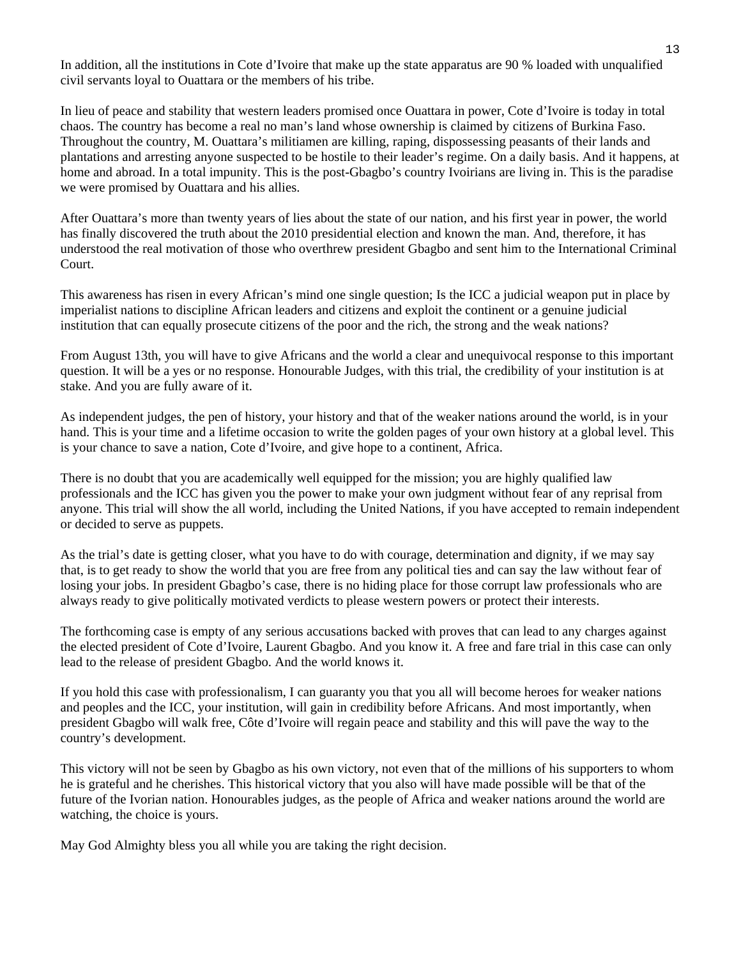In addition, all the institutions in Cote d'Ivoire that make up the state apparatus are 90 % loaded with unqualified civil servants loyal to Ouattara or the members of his tribe.

In lieu of peace and stability that western leaders promised once Ouattara in power, Cote d'Ivoire is today in total chaos. The country has become a real no man's land whose ownership is claimed by citizens of Burkina Faso. Throughout the country, M. Ouattara's militiamen are killing, raping, dispossessing peasants of their lands and plantations and arresting anyone suspected to be hostile to their leader's regime. On a daily basis. And it happens, at home and abroad. In a total impunity. This is the post-Gbagbo's country Ivoirians are living in. This is the paradise we were promised by Ouattara and his allies.

After Ouattara's more than twenty years of lies about the state of our nation, and his first year in power, the world has finally discovered the truth about the 2010 presidential election and known the man. And, therefore, it has understood the real motivation of those who overthrew president Gbagbo and sent him to the International Criminal Court.

This awareness has risen in every African's mind one single question; Is the ICC a judicial weapon put in place by imperialist nations to discipline African leaders and citizens and exploit the continent or a genuine judicial institution that can equally prosecute citizens of the poor and the rich, the strong and the weak nations?

From August 13th, you will have to give Africans and the world a clear and unequivocal response to this important question. It will be a yes or no response. Honourable Judges, with this trial, the credibility of your institution is at stake. And you are fully aware of it.

As independent judges, the pen of history, your history and that of the weaker nations around the world, is in your hand. This is your time and a lifetime occasion to write the golden pages of your own history at a global level. This is your chance to save a nation, Cote d'Ivoire, and give hope to a continent, Africa.

There is no doubt that you are academically well equipped for the mission; you are highly qualified law professionals and the ICC has given you the power to make your own judgment without fear of any reprisal from anyone. This trial will show the all world, including the United Nations, if you have accepted to remain independent or decided to serve as puppets.

As the trial's date is getting closer, what you have to do with courage, determination and dignity, if we may say that, is to get ready to show the world that you are free from any political ties and can say the law without fear of losing your jobs. In president Gbagbo's case, there is no hiding place for those corrupt law professionals who are always ready to give politically motivated verdicts to please western powers or protect their interests.

The forthcoming case is empty of any serious accusations backed with proves that can lead to any charges against the elected president of Cote d'Ivoire, Laurent Gbagbo. And you know it. A free and fare trial in this case can only lead to the release of president Gbagbo. And the world knows it.

If you hold this case with professionalism, I can guaranty you that you all will become heroes for weaker nations and peoples and the ICC, your institution, will gain in credibility before Africans. And most importantly, when president Gbagbo will walk free, Côte d'Ivoire will regain peace and stability and this will pave the way to the country's development.

This victory will not be seen by Gbagbo as his own victory, not even that of the millions of his supporters to whom he is grateful and he cherishes. This historical victory that you also will have made possible will be that of the future of the Ivorian nation. Honourables judges, as the people of Africa and weaker nations around the world are watching, the choice is yours.

May God Almighty bless you all while you are taking the right decision.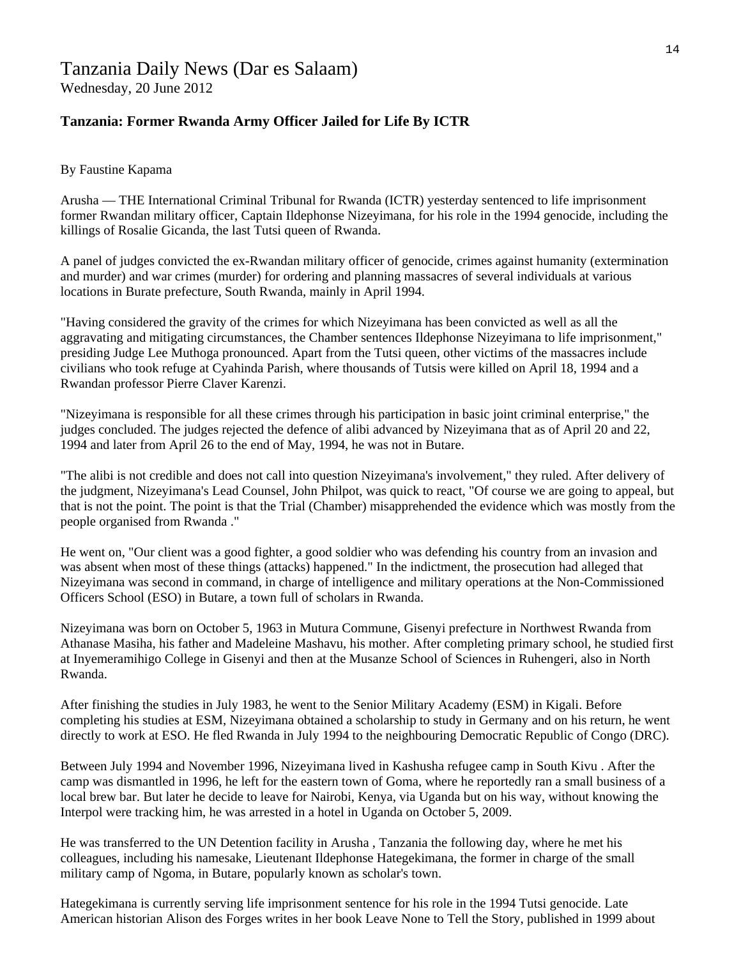Wednesday, 20 June 2012

#### **Tanzania: Former Rwanda Army Officer Jailed for Life By ICTR**

#### By Faustine Kapama

Arusha — THE International Criminal Tribunal for Rwanda (ICTR) yesterday sentenced to life imprisonment former Rwandan military officer, Captain Ildephonse Nizeyimana, for his role in the 1994 genocide, including the killings of Rosalie Gicanda, the last Tutsi queen of Rwanda.

A panel of judges convicted the ex-Rwandan military officer of genocide, crimes against humanity (extermination and murder) and war crimes (murder) for ordering and planning massacres of several individuals at various locations in Burate prefecture, South Rwanda, mainly in April 1994.

"Having considered the gravity of the crimes for which Nizeyimana has been convicted as well as all the aggravating and mitigating circumstances, the Chamber sentences Ildephonse Nizeyimana to life imprisonment," presiding Judge Lee Muthoga pronounced. Apart from the Tutsi queen, other victims of the massacres include civilians who took refuge at Cyahinda Parish, where thousands of Tutsis were killed on April 18, 1994 and a Rwandan professor Pierre Claver Karenzi.

"Nizeyimana is responsible for all these crimes through his participation in basic joint criminal enterprise," the judges concluded. The judges rejected the defence of alibi advanced by Nizeyimana that as of April 20 and 22, 1994 and later from April 26 to the end of May, 1994, he was not in Butare.

"The alibi is not credible and does not call into question Nizeyimana's involvement," they ruled. After delivery of the judgment, Nizeyimana's Lead Counsel, John Philpot, was quick to react, "Of course we are going to appeal, but that is not the point. The point is that the Trial (Chamber) misapprehended the evidence which was mostly from the people organised from Rwanda ."

He went on, "Our client was a good fighter, a good soldier who was defending his country from an invasion and was absent when most of these things (attacks) happened." In the indictment, the prosecution had alleged that Nizeyimana was second in command, in charge of intelligence and military operations at the Non-Commissioned Officers School (ESO) in Butare, a town full of scholars in Rwanda.

Nizeyimana was born on October 5, 1963 in Mutura Commune, Gisenyi prefecture in Northwest Rwanda from Athanase Masiha, his father and Madeleine Mashavu, his mother. After completing primary school, he studied first at Inyemeramihigo College in Gisenyi and then at the Musanze School of Sciences in Ruhengeri, also in North Rwanda.

After finishing the studies in July 1983, he went to the Senior Military Academy (ESM) in Kigali. Before completing his studies at ESM, Nizeyimana obtained a scholarship to study in Germany and on his return, he went directly to work at ESO. He fled Rwanda in July 1994 to the neighbouring Democratic Republic of Congo (DRC).

Between July 1994 and November 1996, Nizeyimana lived in Kashusha refugee camp in South Kivu . After the camp was dismantled in 1996, he left for the eastern town of Goma, where he reportedly ran a small business of a local brew bar. But later he decide to leave for Nairobi, Kenya, via Uganda but on his way, without knowing the Interpol were tracking him, he was arrested in a hotel in Uganda on October 5, 2009.

He was transferred to the UN Detention facility in Arusha , Tanzania the following day, where he met his colleagues, including his namesake, Lieutenant Ildephonse Hategekimana, the former in charge of the small military camp of Ngoma, in Butare, popularly known as scholar's town.

Hategekimana is currently serving life imprisonment sentence for his role in the 1994 Tutsi genocide. Late American historian Alison des Forges writes in her book Leave None to Tell the Story, published in 1999 about